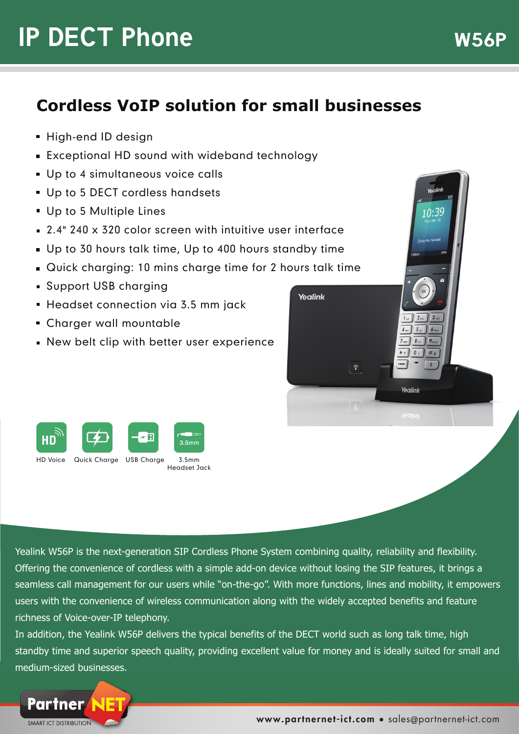# **IP DECT Phone** W56P

# **Cordless VoIP solution for small businesses**

- **High-end ID design**
- Exceptional HD sound with wideband technology
- **Up to 4 simultaneous voice calls**
- Up to 5 DECT cordless handsets
- Up to 5 Multiple Lines
- 2.4" 240 x 320 color screen with intuitive user interface
- Up to 30 hours talk time, Up to 400 hours standby time
- Quick charging: 10 mins charge time for 2 hours talk time
- Support USB charging
- **Headset connection via 3.5 mm jack**
- Charger wall mountable
- New belt clip with better user experience



Yealink W56P is the next-generation SIP Cordless Phone System combining quality, reliability and flexibility. Offering the convenience of cordless with a simple add-on device without losing the SIP features, it brings a seamless call management for our users while "on-the-go". With more functions, lines and mobility, it empowers users with the convenience of wireless communication along with the widely accepted benefits and feature richness of Voice-over-IP telephony.

Yealink

In addition, the Yealink W56P delivers the typical benefits of the DECT world such as long talk time, high standby time and superior speech quality, providing excellent value for money and is ideally suited for small and medium-sized businesses.



Yealink